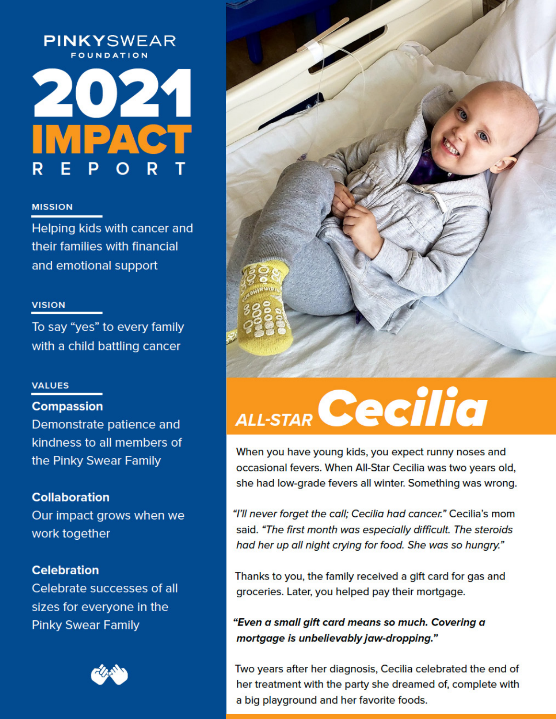# PINKYSWEAR



## **MISSION**

Helping kids with cancer and their families with financial and emotional support

## **VISION**

To say "yes" to every family with a child battling cancer

## **VALUES**

# **Compassion**

Demonstrate patience and kindness to all members of the Pinky Swear Family

# **Collaboration**

Our impact grows when we work together

# **Celebration**

Celebrate successes of all sizes for everyone in the **Pinky Swear Family** 





# ALL-STAR Cecilia

When you have young kids, you expect runny noses and occasional fevers. When All-Star Cecilia was two years old, she had low-grade fevers all winter. Something was wrong.

"I'll never forget the call; Cecilia had cancer." Cecilia's mom said. "The first month was especially difficult. The steroids had her up all night crying for food. She was so hungry."

Thanks to you, the family received a gift card for gas and groceries. Later, you helped pay their mortgage.

"Even a small gift card means so much. Covering a mortgage is unbelievably jaw-dropping."

Two years after her diagnosis, Cecilia celebrated the end of her treatment with the party she dreamed of, complete with a big playground and her favorite foods.